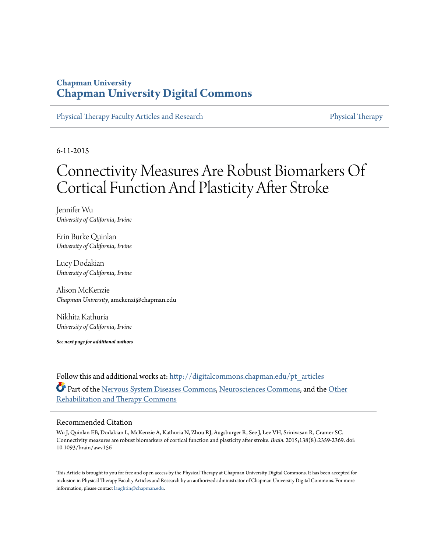## **Chapman University [Chapman University Digital Commons](http://digitalcommons.chapman.edu?utm_source=digitalcommons.chapman.edu%2Fpt_articles%2F50&utm_medium=PDF&utm_campaign=PDFCoverPages)**

[Physical Therapy Faculty Articles and Research](http://digitalcommons.chapman.edu/pt_articles?utm_source=digitalcommons.chapman.edu%2Fpt_articles%2F50&utm_medium=PDF&utm_campaign=PDFCoverPages) [Physical Therapy](http://digitalcommons.chapman.edu/physicaltherapy?utm_source=digitalcommons.chapman.edu%2Fpt_articles%2F50&utm_medium=PDF&utm_campaign=PDFCoverPages)

6-11-2015

## Connectivity Measures Are Robust Biomarkers Of Cortical Function And Plasticity After Stroke

Jennifer Wu *University of California, Irvine*

Erin Burke Quinlan *University of California, Irvine*

Lucy Dodakian *University of California, Irvine*

Alison McKenzie *Chapman University*, amckenzi@chapman.edu

Nikhita Kathuria *University of California, Irvine*

*See next page for additional authors*

Follow this and additional works at: [http://digitalcommons.chapman.edu/pt\\_articles](http://digitalcommons.chapman.edu/pt_articles?utm_source=digitalcommons.chapman.edu%2Fpt_articles%2F50&utm_medium=PDF&utm_campaign=PDFCoverPages) Part of the [Nervous System Diseases Commons,](http://network.bepress.com/hgg/discipline/928?utm_source=digitalcommons.chapman.edu%2Fpt_articles%2F50&utm_medium=PDF&utm_campaign=PDFCoverPages) [Neurosciences Commons](http://network.bepress.com/hgg/discipline/1010?utm_source=digitalcommons.chapman.edu%2Fpt_articles%2F50&utm_medium=PDF&utm_campaign=PDFCoverPages), and the [Other](http://network.bepress.com/hgg/discipline/758?utm_source=digitalcommons.chapman.edu%2Fpt_articles%2F50&utm_medium=PDF&utm_campaign=PDFCoverPages) [Rehabilitation and Therapy Commons](http://network.bepress.com/hgg/discipline/758?utm_source=digitalcommons.chapman.edu%2Fpt_articles%2F50&utm_medium=PDF&utm_campaign=PDFCoverPages)

#### Recommended Citation

Wu J, Quinlan EB, Dodakian L, McKenzie A, Kathuria N, Zhou RJ, Augsburger R, See J, Lee VH, Srinivasan R, Cramer SC. Connectivity measures are robust biomarkers of cortical function and plasticity after stroke. *Brain*. 2015;138(8):2359-2369. doi: 10.1093/brain/awv156

This Article is brought to you for free and open access by the Physical Therapy at Chapman University Digital Commons. It has been accepted for inclusion in Physical Therapy Faculty Articles and Research by an authorized administrator of Chapman University Digital Commons. For more information, please contact [laughtin@chapman.edu](mailto:laughtin@chapman.edu).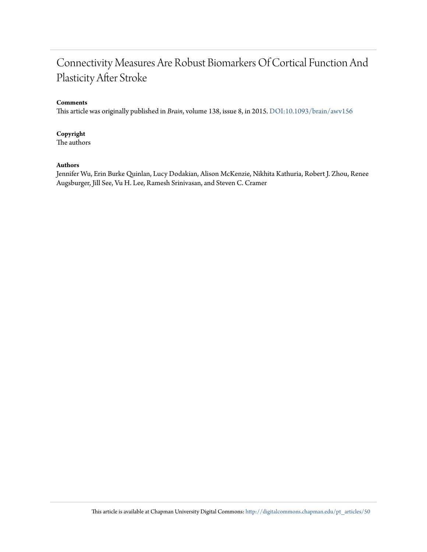## Connectivity Measures Are Robust Biomarkers Of Cortical Function And Plasticity After Stroke

#### **Comments**

This article was originally published in *Brain*, volume 138, issue 8, in 2015. [DOI:10.1093/brain/awv156](http://dx.doi.org/10.1093/brain/awv156)

#### **Copyright**

The authors

#### **Authors**

Jennifer Wu, Erin Burke Quinlan, Lucy Dodakian, Alison McKenzie, Nikhita Kathuria, Robert J. Zhou, Renee Augsburger, Jill See, Vu H. Lee, Ramesh Srinivasan, and Steven C. Cramer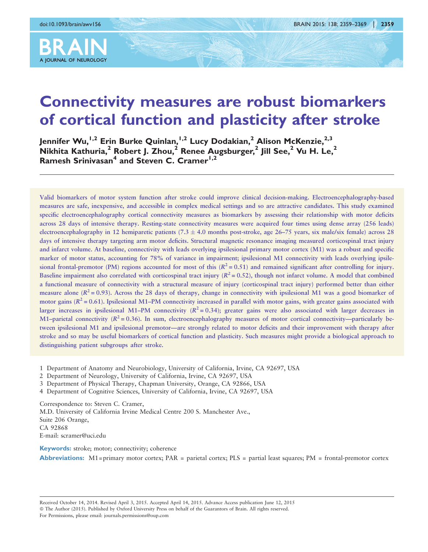# A JOURNAL OF NEUROLOGY

## Connectivity measures are robust biomarkers of cortical function and plasticity after stroke

Jennifer Wu,<sup>1,2</sup> Erin Burke Ouinlan, <sup>1,2</sup> Lucy Dodakian, <sup>2</sup> Alison McKenzie, <sup>2,3</sup> Nikhita Kathuria,<sup>2</sup> Robert J. Zhou,<sup>2</sup> Renee Augsburger,<sup>2</sup> Jill See,<sup>2</sup> Vu H. Le,<sup>2</sup> Ramesh Srinivasan<sup>4</sup> and Steven C. Cramer<sup>1,2</sup>

Valid biomarkers of motor system function after stroke could improve clinical decision-making. Electroencephalography-based measures are safe, inexpensive, and accessible in complex medical settings and so are attractive candidates. This study examined specific electroencephalography cortical connectivity measures as biomarkers by assessing their relationship with motor deficits across 28 days of intensive therapy. Resting-state connectivity measures were acquired four times using dense array (256 leads) electroencephalography in 12 hemiparetic patients (7.3  $\pm$  4.0 months post-stroke, age 26–75 years, six male/six female) across 28 days of intensive therapy targeting arm motor deficits. Structural magnetic resonance imaging measured corticospinal tract injury and infarct volume. At baseline, connectivity with leads overlying ipsilesional primary motor cortex (M1) was a robust and specific marker of motor status, accounting for 78% of variance in impairment; ipsilesional M1 connectivity with leads overlying ipsilesional frontal-premotor (PM) regions accounted for most of this  $(R^2 = 0.51)$  and remained significant after controlling for injury. Baseline impairment also correlated with corticospinal tract injury  $(R^2 = 0.52)$ , though not infarct volume. A model that combined a functional measure of connectivity with a structural measure of injury (corticospinal tract injury) performed better than either measure alone  $(R^2 = 0.93)$ . Across the 28 days of therapy, change in connectivity with ipsilesional M1 was a good biomarker of motor gains  $(R^2 = 0.61)$ . Ipsilesional M1–PM connectivity increased in parallel with motor gains, with greater gains associated with larger increases in ipsilesional M1–PM connectivity  $(R^2 = 0.34)$ ; greater gains were also associated with larger decreases in M1–parietal connectivity  $(R^2 = 0.36)$ . In sum, electroencephalography measures of motor cortical connectivity—particularly between ipsilesional M1 and ipsilesional premotor—are strongly related to motor deficits and their improvement with therapy after stroke and so may be useful biomarkers of cortical function and plasticity. Such measures might provide a biological approach to distinguishing patient subgroups after stroke.

1 Department of Anatomy and Neurobiology, University of California, Irvine, CA 92697, USA

2 Department of Neurology, University of California, Irvine, CA 92697, USA

3 Department of Physical Therapy, Chapman University, Orange, CA 92866, USA

4 Department of Cognitive Sciences, University of California, Irvine, CA 92697, USA

Correspondence to: Steven C. Cramer, M.D. University of California Irvine Medical Centre 200 S. Manchester Ave., Suite 206 Orange, CA 92868 E-mail: scramer@uci.edu

Keywords: stroke; motor; connectivity; coherence

Abbreviations: M1=primary motor cortex; PAR = parietal cortex; PLS = partial least squares; PM = frontal-premotor cortex

Received October 14, 2014. Revised April 3, 2015. Accepted April 14, 2015. Advance Access publication June 12, 2015 - The Author (2015). Published by Oxford University Press on behalf of the Guarantors of Brain. All rights reserved. For Permissions, please email: journals.permissions@oup.com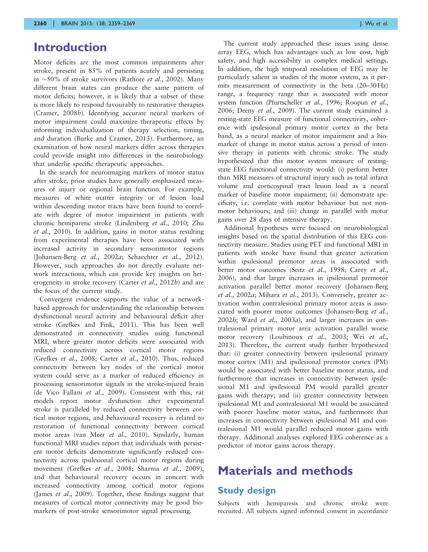## Introduction

Motor deficits are the most common impairments after stroke, present in 85% of patients acutely and persisting in  $\sim$  50% of stroke survivors ([Rathore](#page-12-0) *et al.*, 2002). Many different brain states can produce the same pattern of motor deficits; however, it is likely that a subset of these is more likely to respond favourably to restorative therapies [\(Cramer, 2008](#page-11-0)b). Identifying accurate neural markers of motor impairment could maximize therapeutic effects by informing individualization of therapy selection, timing, and duration [\(Burke and Cramer, 2013\)](#page-11-0). Furthermore, an examination of how neural markers differ across therapies could provide insight into differences in the neurobiology that underlie specific therapeutic approaches.

In the search for neuroimaging markers of motor status after stroke, prior studies have generally emphasized measures of injury or regional brain function. For example, measures of white matter integrity or of lesion load within descending motor tracts have been found to correlate with degree of motor impairment in patients with chronic hemiparetic stroke [\(Lindenberg](#page-11-0) et al., 2010; [Zhu](#page-12-0) et al.[, 2010\)](#page-12-0). In addition, gains in motor status resulting from experimental therapies have been associated with increased activity in secondary sensorimotor regions [\(Johansen-Berg](#page-11-0) et al., 2002a; [Schaechter](#page-12-0) et al., 2012). However, such approaches do not directly evaluate network interactions, which can provide key insights on het-erogeneity in stroke recovery (Carter et al.[, 2012](#page-11-0)b) and are the focus of the current study.

Convergent evidence supports the value of a networkbased approach for understanding the relationship between dysfunctional neural activity and behavioural deficit after stroke [\(Grefkes and Fink, 2011](#page-11-0)). This has been well demonstrated in connectivity studies using functional MRI, where greater motor deficits were associated with reduced connectivity across cortical motor regions [\(Grefkes](#page-11-0) et al., 2008; Carter et al.[, 2010](#page-11-0)). Thus, reduced connectivity between key nodes of the cortical motor system could serve as a marker of reduced efficiency in processing sensorimotor signals in the stroke-injured brain [\(de Vico Fallani](#page-11-0) et al., 2009). Consistent with this, rat models report motor dysfunction after experimental stroke is paralleled by reduced connectivity between cortical motor regions, and behavioural recovery is related to restoration of functional connectivity between cortical motor areas ([van Meer](#page-12-0) et al., 2010). Similarly, human functional MRI studies report that individuals with persistent motor deficits demonstrate significantly reduced connectivity across ipsilesional cortical motor regions during movement [\(Grefkes](#page-11-0) et al., 2008; [Sharma](#page-12-0) et al., 2009), and that behavioural recovery occurs in concert with increased connectivity among cortical motor regions (James et al.[, 2009\)](#page-11-0). Together, these findings suggest that measures of cortical motor connectivity may be good biomarkers of post-stroke sensorimotor signal processing.

The current study approached these issues using dense array EEG, which has advantages such as low cost, high safety, and high accessibility in complex medical settings. In addition, the high temporal resolution of EEG may be particularly salient in studies of the motor system, as it permits measurement of connectivity in the beta (20–30 Hz) range, a frequency range that is associated with motor system function [\(Pfurtscheller](#page-12-0) et al., 1996; [Roopun](#page-12-0) et al., [2006;](#page-12-0) Deeny et al.[, 2009\)](#page-11-0). The current study examined a resting-state EEG measure of functional connectivity, coherence with ipsilesional primary motor cortex in the beta band, as a neural marker of motor impairment and a biomarker of change in motor status across a period of intensive therapy in patients with chronic stroke. The study hypothesized that this motor system measure of restingstate EEG functional connectivity would: (i) perform better than MRI measures of structural injury such as total infarct volume and corticospinal tract lesion load as a neural marker of baseline motor impairment; (ii) demonstrate specificity, i.e. correlate with motor behaviour but not nonmotor behaviours; and (iii) change in parallel with motor gains over 28 days of intensive therapy.

Additional hypotheses were focused on neurobiological insights based on the spatial distribution of this EEG connectivity measure. Studies using PET and functional MRI in patients with stroke have found that greater activation within ipsilesional premotor areas is associated with better motor outcomes (Seitz et al.[, 1998](#page-12-0); [Carey](#page-11-0) et al., [2006\)](#page-11-0), and that larger increases in ipsilesional premotor activation parallel better motor recovery ([Johansen-Berg](#page-11-0) et al.[, 2002](#page-11-0)a; [Mihara](#page-12-0) et al., 2013). Conversely, greater activation within contralesional primary motor areas is associated with poorer motor outcomes [\(Johansen-Berg](#page-11-0) et al., [2002](#page-11-0)b; Ward et al.[, 2003](#page-12-0)a), and larger increases in contralesional primary motor area activation parallel worse motor recovery ([Loubinoux](#page-11-0) [et al.](#page-12-0), 2003; Wei et al., [2013\)](#page-12-0). Therefore, the current study further hypothesized that: (i) greater connectivity between ipsilesional primary motor cortex (M1) and ipsilesional premotor cortex (PM) would be associated with better baseline motor status, and furthermore that increases in connectivity between ipsilesional M1 and ipsilesional PM would parallel greater gains with therapy; and (ii) greater connectivity between ipsilesional M1 and contralesional M1 would be associated with poorer baseline motor status, and furthermore that increases in connectivity between ipsilesional M1 and contralesional M1 would parallel reduced motor gains with therapy. Additional analyses explored EEG coherence as a predictor of motor gains across therapy.

## Materials and methods

#### Study design

Subjects with hemiparesis and chronic stroke were recruited. All subjects signed informed consent in accordance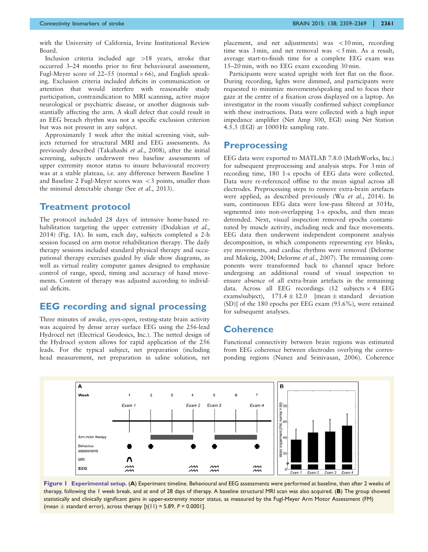<span id="page-4-0"></span>with the University of California, Irvine Institutional Review Board.

Inclusion criteria included age  $>18$  years, stroke that occurred 3–24 months prior to first behavioural assessment, Fugl-Meyer score of  $22-55$  (normal = 66), and English speaking. Exclusion criteria included deficits in communication or attention that would interfere with reasonable study participation, contraindication to MRI scanning, active major neurological or psychiatric disease, or another diagnosis substantially affecting the arm. A skull defect that could result in an EEG breach rhythm was not a specific exclusion criterion but was not present in any subject.

Approximately 1 week after the initial screening visit, subjects returned for structural MRI and EEG assessments. As previously described ([Takahashi](#page-12-0) et al., 2008), after the initial screening, subjects underwent two baseline assessments of upper extremity motor status to insure behavioural recovery was at a stable plateau, i.e. any difference between Baseline 1 and Baseline 2 Fugl-Meyer scores was  $<$  3 points, smaller than the minimal detectable change (See et al.[, 2013\)](#page-12-0).

#### Treatment protocol

The protocol included 28 days of intensive home-based re-habilitation targeting the upper extremity ([Dodakian](#page-11-0) et al., [2014](#page-11-0)) (Fig. 1A). In sum, each day, subjects completed a 2-h session focused on arm motor rehabilitation therapy. The daily therapy sessions included standard physical therapy and occupational therapy exercises guided by slide show diagrams, as well as virtual reality computer games designed to emphasize control of range, speed, timing and accuracy of hand movements. Content of therapy was adjusted according to individual deficits.

#### EEG recording and signal processing

Three minutes of awake, eyes-open, resting-state brain activity was acquired by dense array surface EEG using the 256-lead Hydrocel net (Electrical Geodesics, Inc.). The netted design of the Hydrocel system allows for rapid application of the 256 leads. For the typical subject, net preparation (including head measurement, net preparation in saline solution, net

placement, and net adjustments) was  $<$ 10 min, recording time was  $3 \text{ min}$ , and net removal was  $\lt 5 \text{ min}$ . As a result, average start-to-finish time for a complete EEG exam was 15–20 min, with no EEG exam exceeding 30 min.

Participants were seated upright with feet flat on the floor. During recording, lights were dimmed, and participants were requested to minimize movements/speaking and to focus their gaze at the centre of a fixation cross displayed on a laptop. An investigator in the room visually confirmed subject compliance with these instructions. Data were collected with a high input impedance amplifier (Net Amp 300, EGI) using Net Station 4.5.3 (EGI) at 1000 Hz sampling rate.

#### **Preprocessing**

EEG data were exported to MATLAB 7.8.0 (MathWorks, Inc.) for subsequent preprocessing and analysis steps. For 3 min of recording time, 180 1-s epochs of EEG data were collected. Data were re-referenced offline to the mean signal across all electrodes. Preprocessing steps to remove extra-brain artefacts were applied, as described previously (Wu et al.[, 2014\)](#page-12-0). In sum, continuous EEG data were low-pass filtered at 50 Hz, segmented into non-overlapping 1-s epochs, and then mean detrended. Next, visual inspection removed epochs contaminated by muscle activity, including neck and face movements. EEG data then underwent independent component analysis decomposition, in which components representing eye blinks, eye movements, and cardiac rhythms were removed ([Delorme](#page-11-0) [and Makeig, 2004](#page-11-0); [Delorme](#page-11-0) et al., 2007). The remaining components were transformed back to channel space before undergoing an additional round of visual inspection to ensure absence of all extra-brain artefacts in the remaining data. Across all EEG recordings  $(12 \text{ subjects} \times 4 \text{ EEG})$ exams/subject),  $171.4 \pm 12.0$  [mean  $\pm$  standard deviation (SD)] of the 180 epochs per EEG exam (93.6%), were retained for subsequent analyses.

#### **Coherence**

Functional connectivity between brain regions was estimated from EEG coherence between electrodes overlying the corresponding regions [\(Nunez and Srinivasan, 2006\)](#page-12-0). Coherence



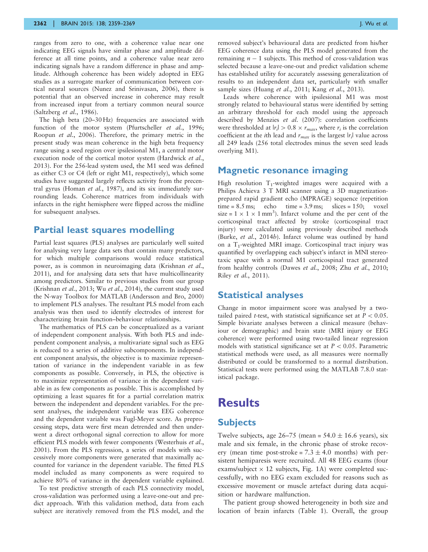ranges from zero to one, with a coherence value near one indicating EEG signals have similar phase and amplitude difference at all time points, and a coherence value near zero indicating signals have a random difference in phase and amplitude. Although coherence has been widely adopted in EEG studies as a surrogate marker of communication between cortical neural sources ([Nunez and Srinivasan, 2006\)](#page-12-0), there is potential that an observed increase in coherence may result from increased input from a tertiary common neural source [\(Saltzberg](#page-12-0) et al., 1986).

The high beta (20–30 Hz) frequencies are associated with function of the motor system [\(Pfurtscheller](#page-12-0) et al., 1996; [Roopun](#page-12-0) et al., 2006). Therefore, the primary metric in the present study was mean coherence in the high beta frequency range using a seed region over ipsilesional M1, a central motor execution node of the cortical motor system [\(Hardwick](#page-11-0) et al., [2013\)](#page-11-0). For the 256-lead system used, the M1 seed was defined as either C3 or C4 (left or right M1, respectively), which some studies have suggested largely reflects activity from the precen-tral gyrus ([Homan](#page-11-0) et al., 1987), and its six immediately surrounding leads. Coherence matrices from individuals with infarcts in the right hemisphere were flipped across the midline for subsequent analyses.

#### Partial least squares modelling

Partial least squares (PLS) analyses are particularly well suited for analysing very large data sets that contain many predictors, for which multiple comparisons would reduce statistical power, as is common in neuroimaging data [\(Krishnan](#page-11-0) et al., [2011\)](#page-11-0), and for analysing data sets that have multicollinearity among predictors. Similar to previous studies from our group [\(Krishnan](#page-11-0) et al., 2013; Wu et al.[, 2014](#page-12-0)), the current study used the N-way Toolbox for MATLAB [\(Andersson and Bro, 2000](#page-10-0)) to implement PLS analyses. The resultant PLS model from each analysis was then used to identify electrodes of interest for characterizing brain function–behaviour relationships.

The mathematics of PLS can be conceptualized as a variant of independent component analysis. With both PLS and independent component analysis, a multivariate signal such as EEG is reduced to a series of additive subcomponents. In independent component analysis, the objective is to maximize representation of variance in the independent variable in as few components as possible. Conversely, in PLS, the objective is to maximize representation of variance in the dependent variable in as few components as possible. This is accomplished by optimizing a least squares fit for a partial correlation matrix between the independent and dependent variables. For the present analyses, the independent variable was EEG coherence and the dependent variable was Fugl-Meyer score. As preprocessing steps, data were first mean detrended and then underwent a direct orthogonal signal correction to allow for more efficient PLS models with fewer components [\(Westerhuis](#page-12-0) et al., [2001\)](#page-12-0). From the PLS regression, a series of models with successively more components were generated that maximally accounted for variance in the dependent variable. The fitted PLS model included as many components as were required to achieve 80% of variance in the dependent variable explained.

To test predictive strength of each PLS connectivity model, cross-validation was performed using a leave-one-out and predict approach. With this validation method, data from each subject are iteratively removed from the PLS model, and the removed subject's behavioural data are predicted from his/her EEG coherence data using the PLS model generated from the remaining  $n - 1$  subjects. This method of cross-validation was selected because a leave-one-out and predict validation scheme has established utility for accurately assessing generalization of results to an independent data set, particularly with smaller sample sizes ([Huang](#page-11-0) et al., 2011; Kang et al.[, 2013\)](#page-11-0).

Leads where coherence with ipsilesional M1 was most strongly related to behavioural status were identified by setting an arbitrary threshold for each model using the approach described by [Menzies](#page-12-0) et al. (2007): correlation coefficients were thresholded at  $|r_i| > 0.8 \times r_{max}$ , where  $r_i$  is the correlation coefficient at the *i*th lead and  $r_{max}$  is the largest  $|r_i|$  value across all 249 leads (256 total electrodes minus the seven seed leads overlying M1).

#### Magnetic resonance imaging

High resolution  $T_1$ -weighted images were acquired with a Philips Achieva 3 T MRI scanner using a 3D magnetizationprepared rapid gradient echo (MPRAGE) sequence (repetition  $time = 8.5$  ms;  $echo$  time = 3.9 ms; slices = 150; voxel size =  $1 \times 1 \times 1$  mm<sup>3</sup>). Infarct volume and the per cent of the corticospinal tract affected by stroke (corticospinal tract injury) were calculated using previously described methods (Burke, et al.[, 2014](#page-11-0)b). Infarct volume was outlined by hand on a  $T_1$ -weighted MRI image. Corticospinal tract injury was quantified by overlapping each subject's infarct in MNI stereotaxic space with a normal M1 corticospinal tract generated from healthy controls (Dawes et al.[, 2008;](#page-11-0) Zhu et al.[, 2010;](#page-12-0) Riley et al.[, 2011\)](#page-12-0).

#### Statistical analyses

Change in motor impairment score was analysed by a twotailed paired *t*-test, with statistical significance set at  $P < 0.05$ . Simple bivariate analyses between a clinical measure (behaviour or demographic) and brain state (MRI injury or EEG coherence) were performed using two-tailed linear regression models with statistical significance set at  $P < 0.05$ . Parametric statistical methods were used, as all measures were normally distributed or could be transformed to a normal distribution. Statistical tests were performed using the MATLAB 7.8.0 statistical package.

## **Results**

#### **Subjects**

Twelve subjects, age  $26-75$  (mean =  $54.0 \pm 16.6$  years), six male and six female, in the chronic phase of stroke recovery (mean time post-stroke =  $7.3 \pm 4.0$  months) with persistent hemiparesis were recruited. All 48 EEG exams (four exams/subject  $\times$  12 subjects, [Fig. 1](#page-4-0)A) were completed successfully, with no EEG exam excluded for reasons such as excessive movement or muscle artefact during data acquisition or hardware malfunction.

The patient group showed heterogeneity in both size and location of brain infarcts [\(Table 1](#page-6-0)). Overall, the group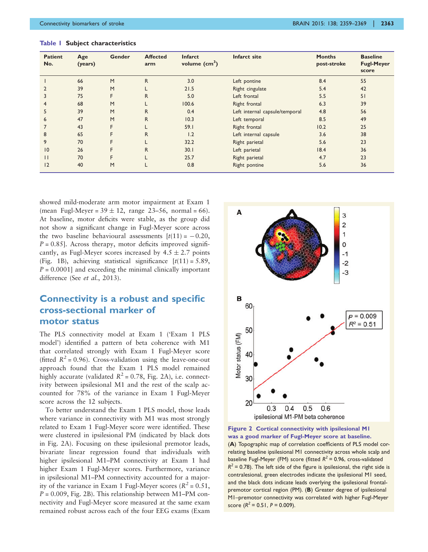<span id="page-6-0"></span>

| Table   Subject characteristics |  |  |  |  |  |
|---------------------------------|--|--|--|--|--|
|---------------------------------|--|--|--|--|--|

| <b>Patient</b><br>No. | Age<br>(years) | <b>Gender</b> | <b>Affected</b><br>arm | <b>Infarct</b><br>volume $(cm3)$ | Infarct site                   | <b>Months</b><br>post-stroke | <b>Baseline</b><br><b>Fugl-Meyer</b><br>score |
|-----------------------|----------------|---------------|------------------------|----------------------------------|--------------------------------|------------------------------|-----------------------------------------------|
|                       | 66             | M             | $\mathsf{R}$           | 3.0                              | Left pontine                   | 8.4                          | 55                                            |
|                       | 39             | M             |                        | 21.5                             | Right cingulate                | 5.4                          | 42                                            |
| 3                     | 75             | F             | $\mathsf{R}$           | 5.0                              | Left frontal                   | 5.5                          | 51                                            |
| 4                     | 68             | M             |                        | 100.6                            | Right frontal                  | 6.3                          | 39                                            |
| 5                     | 39             | M             | $\mathsf{R}$           | 0.4                              | Left internal capsule/temporal | 4.8                          | 56                                            |
| 6                     | 47             | M             | $\mathsf{R}$           | 10.3                             | Left temporal                  | 8.5                          | 49                                            |
|                       | 43             | F             |                        | 59.1                             | Right frontal                  | 10.2                         | 25                                            |
| 8                     | 65             | F             | $\mathsf{R}$           | 1.2                              | Left internal capsule          | 3.6                          | 38                                            |
| 9                     | 70             | F             |                        | 32.2                             | Right parietal                 | 5.6                          | 23                                            |
| 10                    | 26             | F             | $\mathsf{R}$           | 30.1                             | Left parietal                  | 18.4                         | 36                                            |
| $\mathsf{I}$          | 70             | F             |                        | 25.7                             | Right parietal                 | 4.7                          | 23                                            |
| 12                    | 40             | M             |                        | 0.8                              | Right pontine                  | 5.6                          | 36                                            |

showed mild-moderate arm motor impairment at Exam 1 (mean Fugl-Meyer =  $39 \pm 12$ , range 23–56, normal = 66). At baseline, motor deficits were stable, as the group did not show a significant change in Fugl-Meyer score across the two baseline behavioural assessments  $[t(11) = -0.20$ ,  $P = 0.85$ ]. Across therapy, motor deficits improved significantly, as Fugl-Meyer scores increased by  $4.5 \pm 2.7$  points ([Fig. 1B](#page-4-0)), achieving statistical significance  $[t(11) = 5.89]$ ,  $P = 0.0001$  and exceeding the minimal clinically important difference (See et al.[, 2013\)](#page-12-0).

## Connectivity is a robust and specific cross-sectional marker of motor status

The PLS connectivity model at Exam 1 ('Exam 1 PLS model') identified a pattern of beta coherence with M1 that correlated strongly with Exam 1 Fugl-Meyer score (fitted  $R^2$  = 0.96). Cross-validation using the leave-one-out approach found that the Exam 1 PLS model remained highly accurate (validated  $R^2 = 0.78$ , Fig. 2A), i.e. connectivity between ipsilesional M1 and the rest of the scalp accounted for 78% of the variance in Exam 1 Fugl-Meyer score across the 12 subjects.

To better understand the Exam 1 PLS model, those leads where variance in connectivity with M1 was most strongly related to Exam 1 Fugl-Meyer score were identified. These were clustered in ipsilesional PM (indicated by black dots in Fig. 2A). Focusing on these ipsilesional premotor leads, bivariate linear regression found that individuals with higher ipsilesional M1–PM connectivity at Exam 1 had higher Exam 1 Fugl-Meyer scores. Furthermore, variance in ipsilesional M1–PM connectivity accounted for a majority of the variance in Exam 1 Fugl-Meyer scores ( $R^2 = 0.51$ ,  $P = 0.009$ , Fig. 2B). This relationship between M1–PM connectivity and Fugl-Meyer score measured at the same exam remained robust across each of the four EEG exams (Exam



Figure 2 Cortical connectivity with ipsilesional M1 was a good marker of Fugl-Meyer score at baseline. (A) Topographic map of correlation coefficients of PLS model correlating baseline ipsilesional M1 connectivity across whole scalp and baseline Fugl-Meyer (FM) score (fitted  $R^2$  = 0.96, cross-validated  $R^2$  = 0.78). The left side of the figure is ipsilesional, the right side is contralesional, green electrodes indicate the ipsilesional M1 seed, and the black dots indicate leads overlying the ipsilesional frontalpremotor cortical region (PM). (B) Greater degree of ipsilesional M1–premotor connectivity was correlated with higher Fugl-Meyer score  $(R^2 = 0.51, P = 0.009)$ .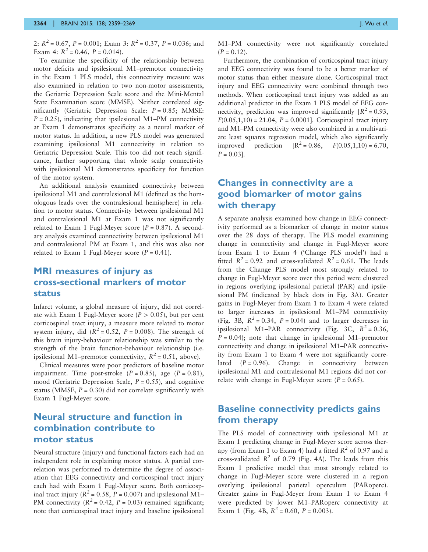2:  $R^2 = 0.67$ ,  $P = 0.001$ ; Exam 3:  $R^2 = 0.37$ ,  $P = 0.036$ ; and Exam 4:  $R^2 = 0.46$ ,  $P = 0.014$ ).

To examine the specificity of the relationship between motor deficits and ipsilesional M1–premotor connectivity in the Exam 1 PLS model, this connectivity measure was also examined in relation to two non-motor assessments, the Geriatric Depression Scale score and the Mini-Mental State Examination score (MMSE). Neither correlated significantly (Geriatric Depression Scale:  $P = 0.85$ ; MMSE:  $P = 0.25$ ), indicating that ipsilesional M1–PM connectivity at Exam 1 demonstrates specificity as a neural marker of motor status. In addition, a new PLS model was generated examining ipsilesional M1 connectivity in relation to Geriatric Depression Scale. This too did not reach significance, further supporting that whole scalp connectivity with ipsilesional M1 demonstrates specificity for function of the motor system.

An additional analysis examined connectivity between ipsilesional M1 and contralesional M1 (defined as the homologous leads over the contralesional hemisphere) in relation to motor status. Connectivity between ipsilesional M1 and contralesional M1 at Exam 1 was not significantly related to Exam 1 Fugl-Meyer score  $(P = 0.87)$ . A secondary analysis examined connectivity between ipsilesional M1 and contralesional PM at Exam 1, and this was also not related to Exam 1 Fugl-Meyer score  $(P = 0.41)$ .

## MRI measures of injury as cross-sectional markers of motor status

Infarct volume, a global measure of injury, did not correlate with Exam 1 Fugl-Meyer score  $(P > 0.05)$ , but per cent corticospinal tract injury, a measure more related to motor system injury, did  $(R^2 = 0.52, P = 0.008)$ . The strength of this brain injury-behaviour relationship was similar to the strength of the brain function-behaviour relationship (i.e. ipsilesional M1–premotor connectivity,  $R^2 = 0.51$ , above).

Clinical measures were poor predictors of baseline motor impairment. Time post-stroke  $(P = 0.85)$ , age  $(P = 0.81)$ , mood (Geriatric Depression Scale,  $P = 0.55$ ), and cognitive status (MMSE,  $P = 0.30$ ) did not correlate significantly with Exam 1 Fugl-Meyer score.

### Neural structure and function in combination contribute to motor status

Neural structure (injury) and functional factors each had an independent role in explaining motor status. A partial correlation was performed to determine the degree of association that EEG connectivity and corticospinal tract injury each had with Exam 1 Fugl-Meyer score. Both corticospinal tract injury ( $R^2 = 0.58$ ,  $P = 0.007$ ) and ipsilesional M1– PM connectivity  $(R^2 = 0.42, P = 0.03)$  remained significant; note that corticospinal tract injury and baseline ipsilesional M1–PM connectivity were not significantly correlated  $(P = 0.12)$ .

Furthermore, the combination of corticospinal tract injury and EEG connectivity was found to be a better marker of motor status than either measure alone. Corticospinal tract injury and EEG connectivity were combined through two methods. When corticospinal tract injury was added as an additional predictor in the Exam 1 PLS model of EEG connectivity, prediction was improved significantly  $[R^2 = 0.93]$ ,  $F(0.05,1,10) = 21.04$ ,  $P = 0.0001$ . Corticospinal tract injury and M1–PM connectivity were also combined in a multivariate least squares regression model, which also significantly improved prediction  $[R^2 = 0.86, F(0.05, 1.10) = 6.70,$  $P = 0.03$ ].

## Changes in connectivity are a good biomarker of motor gains with therapy

A separate analysis examined how change in EEG connectivity performed as a biomarker of change in motor status over the 28 days of therapy. The PLS model examining change in connectivity and change in Fugl-Meyer score from Exam 1 to Exam 4 ('Change PLS model') had a fitted  $R^2 = 0.92$  and cross-validated  $R^2 = 0.61$ . The leads from the Change PLS model most strongly related to change in Fugl-Meyer score over this period were clustered in regions overlying ipsilesional parietal (PAR) and ipsilesional PM (indicated by black dots in [Fig. 3A](#page-8-0)). Greater gains in Fugl-Meyer from Exam 1 to Exam 4 were related to larger increases in ipsilesional M1–PM connectivity [\(Fig. 3B](#page-8-0),  $R^2 = 0.34$ ,  $P = 0.04$ ) and to larger decreases in ipsilesional M1–PAR connectivity ([Fig. 3C](#page-8-0),  $R^2 = 0.36$ ,  $P = 0.04$ ; note that change in ipsilesional M1–premotor connectivity and change in ipsilesional M1–PAR connectivity from Exam 1 to Exam 4 were not significantly correlated  $(P = 0.96)$ . Change in connectivity between ipsilesional M1 and contralesional M1 regions did not correlate with change in Fugl-Meyer score  $(P = 0.65)$ .

## Baseline connectivity predicts gains from therapy

The PLS model of connectivity with ipsilesional M1 at Exam 1 predicting change in Fugl-Meyer score across therapy (from Exam 1 to Exam 4) had a fitted  $R^2$  of 0.97 and a cross-validated  $R^2$  of 0.79 ([Fig. 4](#page-8-0)A). The leads from this Exam 1 predictive model that most strongly related to change in Fugl-Meyer score were clustered in a region overlying ipsilesional parietal operculum (PARoperc). Greater gains in Fugl-Meyer from Exam 1 to Exam 4 were predicted by lower M1–PARoperc connectivity at Exam 1 [\(Fig. 4](#page-8-0)B,  $R^2 = 0.60$ ,  $P = 0.003$ ).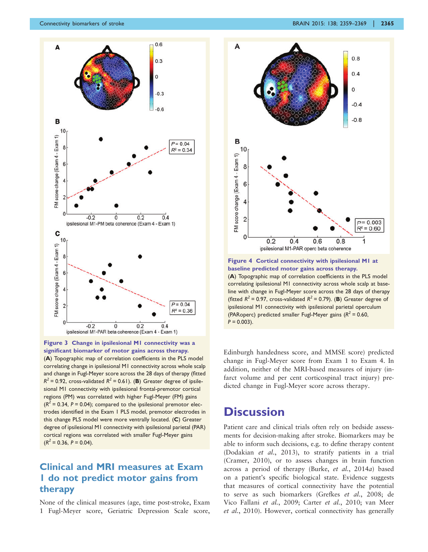<span id="page-8-0"></span>

Figure 3 Change in ipsilesional M1 connectivity was a significant biomarker of motor gains across therapy. (A) Topographic map of correlation coefficients in the PLS model correlating change in ipsilesional M1 connectivity across whole scalp and change in Fugl-Meyer score across the 28 days of therapy (fitted  $R^2$  = 0.92, cross-validated  $R^2$  = 0.61). (**B**) Greater degree of ipsilesional M1 connectivity with ipsilesional frontal-premotor cortical regions (PM) was correlated with higher Fugl-Meyer (FM) gains  $(R^2 = 0.34, P = 0.04)$ ; compared to the ipsilesional premotor electrodes identified in the Exam 1 PLS model, premotor electrodes in this change PLS model were more ventrally located. (C) Greater degree of ipsilesional M1 connectivity with ipsilesional parietal (PAR) cortical regions was correlated with smaller Fugl-Meyer gains  $(R^2 = 0.36, P = 0.04).$ 

## Clinical and MRI measures at Exam 1 do not predict motor gains from therapy

None of the clinical measures (age, time post-stroke, Exam 1 Fugl-Meyer score, Geriatric Depression Scale score,



Figure 4 Cortical connectivity with ipsilesional M1 at baseline predicted motor gains across therapy.

(A) Topographic map of correlation coefficients in the PLS model correlating ipsilesional M1 connectivity across whole scalp at baseline with change in Fugl-Meyer score across the 28 days of therapy (fitted  $R^2$  = 0.97, cross-validated  $R^2$  = 0.79). (**B**) Greater degree of ipsilesional M1 connectivity with ipsilesional parietal operculum (PARoperc) predicted smaller Fugl-Meyer gains ( $R^2$  = 0.60,  $P = 0.003$ ).

Edinburgh handedness score, and MMSE score) predicted change in Fugl-Meyer score from Exam 1 to Exam 4. In addition, neither of the MRI-based measures of injury (infarct volume and per cent corticospinal tract injury) predicted change in Fugl-Meyer score across therapy.

## **Discussion**

Patient care and clinical trials often rely on bedside assessments for decision-making after stroke. Biomarkers may be able to inform such decisions, e.g. to define therapy content ([Dodakian](#page-11-0) et al., 2013), to stratify patients in a trial ([Cramer, 2010\)](#page-11-0), or to assess changes in brain function across a period of therapy (Burke, et al.[, 2014](#page-11-0)a) based on a patient's specific biological state. Evidence suggests that measures of cortical connectivity have the potential to serve as such biomarkers ([Grefkes](#page-11-0) et al., 2008; [de](#page-11-0) [Vico Fallani](#page-11-0) et al., 2009; Carter et al.[, 2010;](#page-11-0) [van Meer](#page-12-0) et al.[, 2010](#page-12-0)). However, cortical connectivity has generally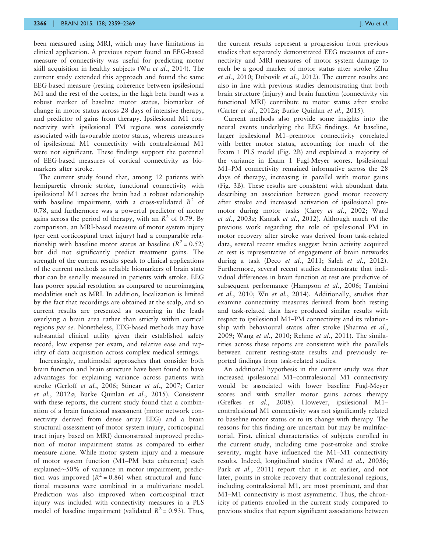been measured using MRI, which may have limitations in clinical application. A previous report found an EEG-based measure of connectivity was useful for predicting motor skill acquisition in healthy subjects (Wu et al.[, 2014](#page-12-0)). The current study extended this approach and found the same EEG-based measure (resting coherence between ipsilesional M1 and the rest of the cortex, in the high beta band) was a robust marker of baseline motor status, biomarker of change in motor status across 28 days of intensive therapy, and predictor of gains from therapy. Ipsilesional M1 connectivity with ipsilesional PM regions was consistently associated with favourable motor status, whereas measures of ipsilesional M1 connectivity with contralesional M1 were not significant. These findings support the potential of EEG-based measures of cortical connectivity as biomarkers after stroke.

The current study found that, among 12 patients with hemiparetic chronic stroke, functional connectivity with ipsilesional M1 across the brain had a robust relationship with baseline impairment, with a cross-validated  $R^2$  of 0.78, and furthermore was a powerful predictor of motor gains across the period of therapy, with an  $R^2$  of 0.79. By comparison, an MRI-based measure of motor system injury (per cent corticospinal tract injury) had a comparable relationship with baseline motor status at baseline  $(R^2 = 0.52)$ but did not significantly predict treatment gains. The strength of the current results speak to clinical applications of the current methods as reliable biomarkers of brain state that can be serially measured in patients with stroke. EEG has poorer spatial resolution as compared to neuroimaging modalities such as MRI. In addition, localization is limited by the fact that recordings are obtained at the scalp, and so current results are presented as occurring in the leads overlying a brain area rather than strictly within cortical regions per se. Nonetheless, EEG-based methods may have substantial clinical utility given their established safety record, low expense per exam, and relative ease and rapidity of data acquisition across complex medical settings.

Increasingly, multimodal approaches that consider both brain function and brain structure have been found to have advantages for explaining variance across patients with stroke [\(Gerloff](#page-11-0) et al., 2006; Stinear et al.[, 2007](#page-12-0); [Carter](#page-11-0) et al.[, 2012](#page-11-0)a; [Burke Quinlan](#page-11-0) et al., 2015). Consistent with these reports, the current study found that a combination of a brain functional assessment (motor network connectivity derived from dense array EEG) and a brain structural assessment (of motor system injury, corticospinal tract injury based on MRI) demonstrated improved prediction of motor impairment status as compared to either measure alone. While motor system injury and a measure of motor system function (M1–PM beta coherence) each explained $\sim$ 50% of variance in motor impairment, prediction was improved  $(R^2 = 0.86)$  when structural and functional measures were combined in a multivariate model. Prediction was also improved when corticospinal tract injury was included with connectivity measures in a PLS model of baseline impairment (validated  $R^2 = 0.93$ ). Thus, the current results represent a progression from previous studies that separately demonstrated EEG measures of connectivity and MRI measures of motor system damage to each be a good marker of motor status after stroke ([Zhu](#page-12-0) et al.[, 2010;](#page-12-0) [Dubovik](#page-11-0) et al., 2012). The current results are also in line with previous studies demonstrating that both brain structure (injury) and brain function (connectivity via functional MRI) contribute to motor status after stroke (Carter et al.[, 2012](#page-11-0)a; [Burke Quinlan](#page-11-0) et al., 2015).

Current methods also provide some insights into the neural events underlying the EEG findings. At baseline, larger ipsilesional M1–premotor connectivity correlated with better motor status, accounting for much of the Exam 1 PLS model ([Fig. 2](#page-6-0)B) and explained a majority of the variance in Exam 1 Fugl-Meyer scores. Ipsilesional M1–PM connectivity remained informative across the 28 days of therapy, increasing in parallel with motor gains [\(Fig. 3B](#page-8-0)). These results are consistent with abundant data describing an association between good motor recovery after stroke and increased activation of ipsilesional premotor during motor tasks (Carey et al.[, 2002;](#page-11-0) [Ward](#page-12-0) et al.[, 2003](#page-12-0)a; [Kantak](#page-11-0) et al., 2012). Although much of the previous work regarding the role of ipsilesional PM in motor recovery after stroke was derived from task-related data, several recent studies suggest brain activity acquired at rest is representative of engagement of brain networks during a task (Deco et al.[, 2011](#page-11-0); Saleh et al.[, 2012](#page-12-0)). Furthermore, several recent studies demonstrate that individual differences in brain function at rest are predictive of subsequent performance [\(Hampson](#page-11-0) et al., 2006; [Tambini](#page-12-0) et al.[, 2010](#page-12-0); Wu et al.[, 2014](#page-12-0)). Additionally, studies that examine connectivity measures derived from both resting and task-related data have produced similar results with respect to ipsilesional M1–PM connectivity and its relationship with behavioural status after stroke [\(Sharma](#page-12-0) et al., [2009;](#page-12-0) Wang et al.[, 2010; Rehme](#page-12-0) et al., 2011). The similarities across these reports are consistent with the parallels between current resting-state results and previously reported findings from task-related studies.

An additional hypothesis in the current study was that increased ipsilesional M1–contralesional M1 connectivity would be associated with lower baseline Fugl-Meyer scores and with smaller motor gains across therapy (Grefkes et al.[, 2008\)](#page-11-0). However, ipsilesional M1– contralesional M1 connectivity was not significantly related to baseline motor status or to its change with therapy. The reasons for this finding are uncertain but may be multifactorial. First, clinical characteristics of subjects enrolled in the current study, including time post-stroke and stroke severity, might have influenced the M1–M1 connectivity results. Indeed, longitudinal studies (Ward et al.[, 2003](#page-12-0)b; Park et al.[, 2011\)](#page-12-0) report that it is at earlier, and not later, points in stroke recovery that contralesional regions, including contralesional M1, are most prominent, and that M1–M1 connectivity is most asymmetric. Thus, the chronicity of patients enrolled in the current study compared to previous studies that report significant associations between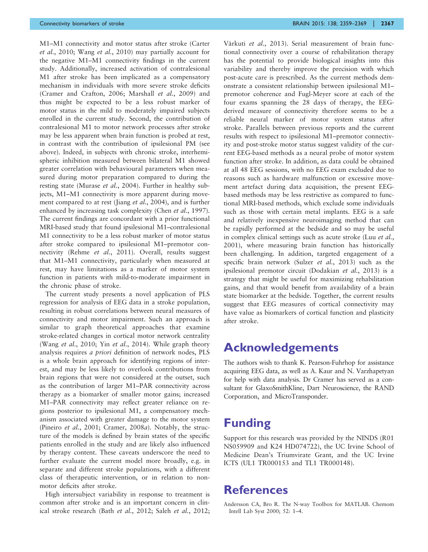the chronic phase of stroke.

<span id="page-10-0"></span>M1–M1 connectivity and motor status after stroke ([Carter](#page-11-0) et al.[, 2010;](#page-11-0) Wang et al.[, 2010](#page-12-0)) may partially account for the negative M1–M1 connectivity findings in the current study. Additionally, increased activation of contralesional M1 after stroke has been implicated as a compensatory mechanism in individuals with more severe stroke deficits ([Cramer and Crafton, 2006; Marshall](#page-11-0) et al., 2009) and thus might be expected to be a less robust marker of motor status in the mild to moderately impaired subjects enrolled in the current study. Second, the contribution of contralesional M1 to motor network processes after stroke may be less apparent when brain function is probed at rest, in contrast with the contribution of ipsilesional PM (see above). Indeed, in subjects with chronic stroke, interhemispheric inhibition measured between bilateral M1 showed greater correlation with behavioural parameters when measured during motor preparation compared to during the resting state ([Murase](#page-12-0) et al., 2004). Further in healthy subjects, M1–M1 connectivity is more apparent during movement compared to at rest (Jiang *et al.*[, 2004](#page-11-0)), and is further enhanced by increasing task complexity (Chen et al.[, 1997](#page-11-0)). The current findings are concordant with a prior functional MRI-based study that found ipsilesional M1–contralesional M1 connectivity to be a less robust marker of motor status after stroke compared to ipsilesional M1–premotor con-nectivity (Rehme et al.[, 2011](#page-12-0)). Overall, results suggest that M1–M1 connectivity, particularly when measured at rest, may have limitations as a marker of motor system function in patients with mild-to-moderate impairment in

The current study presents a novel application of PLS regression for analysis of EEG data in a stroke population, resulting in robust correlations between neural measures of connectivity and motor impairment. Such an approach is similar to graph theoretical approaches that examine stroke-related changes in cortical motor network centrality (Wang et al.[, 2010](#page-12-0); Yin et al.[, 2014\)](#page-12-0). While graph theory analysis requires a priori definition of network nodes, PLS is a whole brain approach for identifying regions of interest, and may be less likely to overlook contributions from brain regions that were not considered at the outset, such as the contribution of larger M1–PAR connectivity across therapy as a biomarker of smaller motor gains; increased M1–PAR connectivity may reflect greater reliance on regions posterior to ipsilesional M1, a compensatory mechanism associated with greater damage to the motor system ([Pineiro](#page-12-0) et al., 2001; [Cramer, 2008](#page-11-0)a). Notably, the structure of the models is defined by brain states of the specific patients enrolled in the study and are likely also influenced by therapy content. These caveats underscore the need to further evaluate the current model more broadly, e.g. in separate and different stroke populations, with a different class of therapeutic intervention, or in relation to nonmotor deficits after stroke.

High intersubject variability in response to treatment is common after stroke and is an important concern in clinical stroke research (Bath et al.[, 2012;](#page-11-0) Saleh et al.[, 2012](#page-12-0); Várkuti et al., 2013). Serial measurement of brain functional connectivity over a course of rehabilitation therapy has the potential to provide biological insights into this variability and thereby improve the precision with which post-acute care is prescribed. As the current methods demonstrate a consistent relationship between ipsilesional M1– premotor coherence and Fugl-Meyer score at each of the four exams spanning the 28 days of therapy, the EEGderived measure of connectivity therefore seems to be a reliable neural marker of motor system status after stroke. Parallels between previous reports and the current results with respect to ipsilesional M1–premotor connectivity and post-stroke motor status suggest validity of the current EEG-based methods as a neural probe of motor system function after stroke. In addition, as data could be obtained at all 48 EEG sessions, with no EEG exam excluded due to reasons such as hardware malfunction or excessive movement artefact during data acquisition, the present EEGbased methods may be less restrictive as compared to functional MRI-based methods, which exclude some individuals such as those with certain metal implants. EEG is a safe and relatively inexpensive neuroimaging method that can be rapidly performed at the bedside and so may be useful in complex clinical settings such as acute stroke (Luu *[et al.](#page-11-0)*, [2001](#page-11-0)), where measuring brain function has historically been challenging. In addition, targeted engagement of a specific brain network (Sulzer et al.[, 2013\)](#page-12-0) such as the ipsilesional premotor circuit ([Dodakian](#page-11-0) et al., 2013) is a strategy that might be useful for maximizing rehabilitation gains, and that would benefit from availability of a brain state biomarker at the bedside. Together, the current results suggest that EEG measures of cortical connectivity may have value as biomarkers of cortical function and plasticity after stroke.

## Acknowledgements

The authors wish to thank K. Pearson-Fuhrhop for assistance acquiring EEG data, as well as A. Kaur and N. Varzhapetyan for help with data analysis. Dr Cramer has served as a consultant for GlaxoSmithKline, Dart Neuroscience, the RAND Corporation, and MicroTransponder.

## Funding

Support for this research was provided by the NINDS (R01 NS059909 and K24 HD074722), the UC Irvine School of Medicine Dean's Triumvirate Grant, and the UC Irvine ICTS (UL1 TR000153 and TL1 TR000148).

## **References**

Andersson CA, Bro R. The N-way Toolbox for MATLAB. Chemom Intell Lab Syst 2000; 52: 1–4.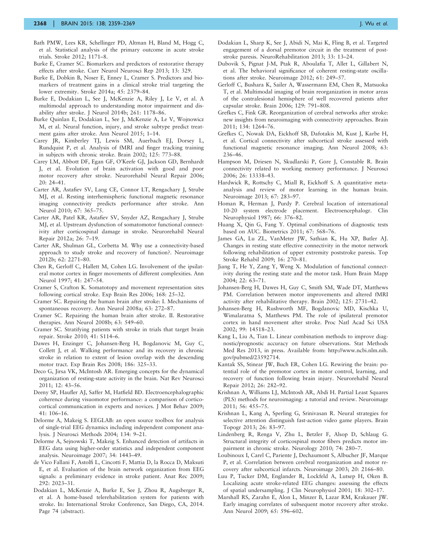- <span id="page-11-0"></span>Bath PMW, Lees KR, Schellinger PD, Altman H, Bland M, Hogg C, et al. Statistical analysis of the primary outcome in acute stroke trials. Stroke 2012; 1171–8.
- Burke E, Cramer SC. Biomarkers and predictors of restorative therapy effects after stroke. Curr Neurol Neurosci Rep 2013; 13: 329.
- Burke E, Dobkin B, Noser E, Enney L, Cramer S. Predictors and biomarkers of treatment gains in a clinical stroke trial targeting the lower extremity. Stroke 2014a; 45: 2379–84.
- Burke E, Dodakian L, See J, McKenzie A, Riley J, Le V, et al. A multimodal approach to understanding motor impairment and disability after stroke. J Neurol 2014b; 261: 1178–86.
- Burke Quinlan E, Dodakian L, See J, McKenzie A, Le V, Wojnowicz M, et al. Neural function, injury, and stroke subtype predict treatment gains after stroke. Ann Neurol 2015; 1–14.
- Carey JR, Kimberley TJ, Lewis SM, Auerbach EJ, Dorsey L, Rundquist P, et al. Analysis of fMRI and finger tracking training in subjects with chronic stroke. Brain 2002; 125: 773–88.
- Carey LM, Abbott DF, Egan GF, O'Keefe GJ, Jackson GD, Bernhardt J, et al. Evolution of brain activation with good and poor motor recovery after stroke. Neurorehabil Neural Repair 2006; 20: 24–41.
- Carter AR, Astafiev SV, Lang CE, Connor LT, Rengachary J, Strube MJ, et al. Resting interhemispheric functional magnetic resonance imaging connectivity predicts performance after stroke. Ann Neurol 2010; 67: 365–75.
- Carter AR, Patel KR, Astafiev SV, Snyder AZ, Rengachary J, Strube MJ, et al. Upstream dysfunction of somatomotor functional connectivity after corticospinal damage in stroke. Neurorehabil Neural Repair 2012a; 26: 7–19.
- Carter AR, Shulman GL, Corbetta M. Why use a connectivity-based approach to study stroke and recovery of function?. Neuroimage 2012b; 62: 2271–80.
- Chen R, Gerloff C, Hallett M, Cohen LG. Involvement of the ipsilateral motor cortex in finger movements of different complexities. Ann Neurol 1997; 41: 247–54.
- Cramer S, Crafton K. Somatotopy and movement representation sites following cortical stroke. Exp Brain Res 2006; 168: 25–32.
- Cramer SC. Repairing the human brain after stroke: I. Mechanisms of spontaneous recovery. Ann Neurol 2008a; 63: 272–87.
- Cramer SC. Repairing the human brain after stroke. II. Restorative therapies. Ann Neurol 2008b; 63: 549–60.
- Cramer SC. Stratifying patients with stroke in trials that target brain repair. Stroke 2010; 41: S114–6.
- Dawes H, Enzinger C, Johansen-Berg H, Bogdanovic M, Guy C, Collett J, et al. Walking performance and its recovery in chronic stroke in relation to extent of lesion overlap with the descending motor tract. Exp Brain Res 2008; 186: 325–33.
- Deco G, Jirsa VK, McIntosh AR. Emerging concepts for the dynamical organization of resting-state activity in the brain. Nat Rev Neurosci 2011; 12: 43–56.
- Deeny SP, Haufler AJ, Saffer M, Hatfield BD. Electroencephalographic coherence during visuomotor performance: a comparison of corticocortical communication in experts and novices. J Mot Behav 2009; 41: 106–16.
- Delorme A, Makeig S. EEGLAB: an open source toolbox for analysis of single-trial EEG dynamics including independent component analysis. J Neurosci Methods 2004; 134: 9–21.
- Delorme A, Sejnowski T, Makeig S. Enhanced detection of artifacts in EEG data using higher-order statistics and independent component analysis. Neuroimage 2007; 34: 1443–49.
- de Vico Fallani F, Astolfi L, Cincotti F, Mattia D, la Rocca D, Maksuti E, et al. Evaluation of the brain network organization from EEG signals: a preliminary evidence in stroke patient. Anat Rec 2009; 292: 2023–31.
- Dodakian L, McKenzie A, Burke E, See J, Zhou R, Augsberger R, et al. A home-based telerehabilitation system for patients with stroke. In: International Stroke Conference, San Diego, CA, 2014. Page 74 (abstract).
- Dodakian L, Sharp K, See J, Abidi N, Mai K, Fling B, et al. Targeted engagement of a dorsal premotor circuit in the treatment of poststroke paresis. NeuroRehabilitation 2013; 33: 13–24.
- Dubovik S, Pignat J-M, Ptak R, Aboulafia T, Allet L, Gillabert N, et al. The behavioral significance of coherent resting-state oscillations after stroke. Neuroimage 2012; 61: 249–57.
- Gerloff C, Bushara K, Sailer A, Wassermann EM, Chen R, Matsuoka T, et al. Multimodal imaging of brain reorganization in motor areas of the contralesional hemisphere of well recovered patients after capsular stroke. Brain 2006; 129: 791–808.
- Grefkes C, Fink GR. Reorganization of cerebral networks after stroke: new insights from neuroimaging with connectivity approaches. Brain 2011; 134: 1264–76.
- Grefkes C, Nowak DA, Eickhoff SB, Dafotakis M, Kust J, Karbe H, et al. Cortical connectivity after subcortical stroke assessed with functional magnetic resonance imaging. Ann Neurol 2008; 63: 236–46.
- Hampson M, Driesen N, Skudlarski P, Gore J, Constable R. Brain connectivity related to working memory performance. J Neurosci 2006; 26: 13338–43.
- Hardwick R, Rottschy C, Miall R, Eickhoff S. A quantitative metaanalysis and review of motor learning in the human brain. Neuroimage 2013; 67: 283–97.
- Homan R, Herman J, Purdy P. Cerebral location of international 10-20 system electrode placement. Electroencephalogr. Clin Neurophysiol 1987; 66: 376–82.
- Huang X, Qin G, Fang Y. Optimal combinations of diagnostic tests based on AUC. Biometrics 2011; 67: 568–76.
- James GA, Lu ZL, VanMeter JW, Sathian K, Hu XP, Butler AJ. Changes in resting state effective connectivity in the motor network following rehabilitation of upper extremity poststroke paresis. Top Stroke Rehabil 2009; 16: 270–81.
- Jiang T, He Y, Zang Y, Weng X. Modulation of functional connectivity during the resting state and the motor task. Hum Brain Mapp 2004; 22: 63–71.
- Johansen-Berg H, Dawes H, Guy C, Smith SM, Wade DT, Matthews PM. Correlation between motor improvements and altered fMRI activity after rehabilitative therapy. Brain 2002; 125: 2731–42.
- Johansen-Berg H, Rushworth MF, Bogdanovic MD, Kischka U, Wimalaratna S, Matthews PM. The role of ipsilateral premotor cortex in hand movement after stroke. Proc Natl Acad Sci USA 2002; 99: 14518–23.
- Kang L, Liu A, Tian L. Linear combination methods to improve diagnostic/prognostic accuracy on future observations. Stat Methods Med Res 2013, in press. Available from: [http://www.ncbi.nlm.nih.](http://www.ncbi.nlm.nih.gov/pubmed/23592714) [gov/pubmed/23592714](http://www.ncbi.nlm.nih.gov/pubmed/23592714).
- Kantak SS, Stinear JW, Buch ER, Cohen LG. Rewiring the brain: potential role of the premotor cortex in motor control, learning, and recovery of function following brain injury. Neurorehabil Neural Repair 2012; 26: 282–92.
- Krishnan A, Williams LJ, McIntosh AR, Abdi H. Partial Least Squares (PLS) methods for neuroimaging: a tutorial and review. Neuroimage 2011; 56: 455–75.
- Krishnan L, Kang A, Sperling G, Srinivasan R. Neural strategies for selective attention distinguish fast-action video game players. Brain Topogr 2013; 26: 83–97.
- Lindenberg R, Renga V, Zhu L, Betzler F, Alsop D, Schlaug G. Structural integrity of corticospinal motor fibers predicts motor impairment in chronic stroke. Neurology 2010; 74: 280–7.
- Loubinoux I, Carel C, Pariente J, Dechaumont S, Albucher JF, Marque P, et al. Correlation between cerebral reorganization and motor recovery after subcortical infarcts. Neuroimage 2003; 20: 2166–80.
- Luu P, Tucker DM, Englander R, Lockfeld A, Lutsep H, Oken B. Localizing acute stroke-related EEG changes: assessing the effects of spatial undersampling. J Clin Neurophysiol 2001; 18: 302–17.
- Marshall RS, Zarahn E, Alon L, Minzer B, Lazar RM, Krakauer JW. Early imaging correlates of subsequent motor recovery after stroke. Ann Neurol 2009; 65: 596–602.